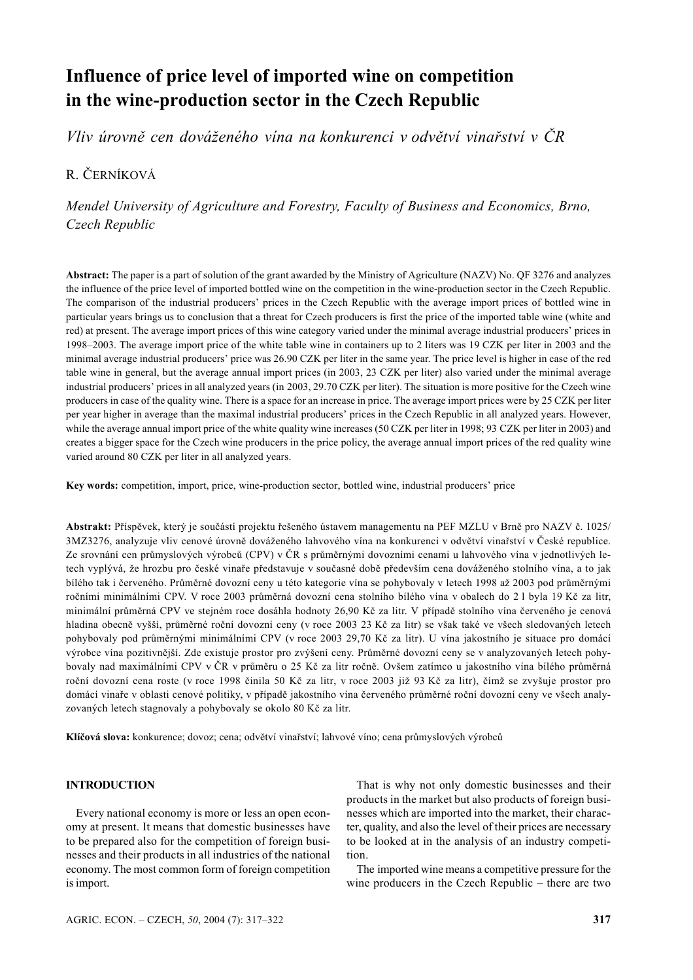# **Influence of price level of imported wine on competition in the wine-production sector in the Czech Republic**

*Vliv úrovně cen dováženého vína na konkurenci v odvětví vinařství v ČR*

## R. ČERNÍKOVÁ

*Mendel University of Agriculture and Forestry, Faculty of Business and Economics, Brno, Czech Republic*

**Abstract:** The paper is a part of solution of the grant awarded by the Ministry of Agriculture (NAZV) No. QF 3276 and analyzes the influence of the price level of imported bottled wine on the competition in the wine-production sector in the Czech Republic. The comparison of the industrial producers' prices in the Czech Republic with the average import prices of bottled wine in particular years brings us to conclusion that a threat for Czech producers is first the price of the imported table wine (white and red) at present. The average import prices of this wine category varied under the minimal average industrial producers' prices in 1998–2003. The average import price of the white table wine in containers up to 2 liters was 19 CZK per liter in 2003 and the minimal average industrial producers' price was 26.90 CZK per liter in the same year. The price level is higher in case of the red table wine in general, but the average annual import prices (in 2003, 23 CZK per liter) also varied under the minimal average industrial producers' prices in all analyzed years (in 2003, 29.70 CZK per liter). The situation is more positive for the Czech wine producers in case of the quality wine. There is a space for an increase in price. The average import prices were by 25 CZK per liter per year higher in average than the maximal industrial producers' prices in the Czech Republic in all analyzed years. However, while the average annual import price of the white quality wine increases (50 CZK per liter in 1998; 93 CZK per liter in 2003) and creates a bigger space for the Czech wine producers in the price policy, the average annual import prices of the red quality wine varied around 80 CZK per liter in all analyzed years.

**Key words:** competition, import, price, wine-production sector, bottled wine, industrial producers' price

**Abstrakt:** Příspěvek, který je součástí projektu řešeného ústavem managementu na PEF MZLU v Brně pro NAZV č. 1025/ 3MZ3276, analyzuje vliv cenové úrovně dováženého lahvového vína na konkurenci v odvětví vinařství v České republice. Ze srovnání cen průmyslových výrobců (CPV) v ČR s průměrnými dovozními cenami u lahvového vína v jednotlivých letech vyplývá, že hrozbu pro české vinaře představuje v současné době především cena dováženého stolního vína, a to jak bílého tak i červeného. Průměrné dovozní ceny u této kategorie vína se pohybovaly v letech 1998 až 2003 pod průměrnými ročními minimálními CPV. V roce 2003 průměrná dovozní cena stolního bílého vína v obalech do 2 l byla 19 Kč za litr, minimální průměrná CPV ve stejném roce dosáhla hodnoty 26,90 Kč za litr. V případě stolního vína červeného je cenová hladina obecně vyšší, průměrné roční dovozní ceny (v roce 2003 23 Kč za litr) se však také ve všech sledovaných letech pohybovaly pod průměrnými minimálními CPV (v roce 2003 29,70 Kč za litr). U vína jakostního je situace pro domácí výrobce vína pozitivnější. Zde existuje prostor pro zvýšení ceny. Průměrné dovozní ceny se v analyzovaných letech pohybovaly nad maximálními CPV v ČR v průměru o 25 Kč za litr ročně. Ovšem zatímco u jakostního vína bílého průměrná roční dovozní cena roste (v roce 1998 činila 50 Kč za litr, v roce 2003 již 93 Kč za litr), čímž se zvyšuje prostor pro domácí vinaře v oblasti cenové politiky, v případě jakostního vína červeného průměrné roční dovozní ceny ve všech analyzovaných letech stagnovaly a pohybovaly se okolo 80 Kč za litr.

**Klíčová slova:** konkurence; dovoz; cena; odvětví vinařství; lahvové víno; cena průmyslových výrobců

### **INTRODUCTION**

Every national economy is more or less an open economy at present. It means that domestic businesses have to be prepared also for the competition of foreign businesses and their products in all industries of the national economy. The most common form of foreign competition is import.

That is why not only domestic businesses and their products in the market but also products of foreign businesses which are imported into the market, their character, quality, and also the level of their prices are necessary to be looked at in the analysis of an industry competition.

The imported wine means a competitive pressure for the wine producers in the Czech Republic – there are two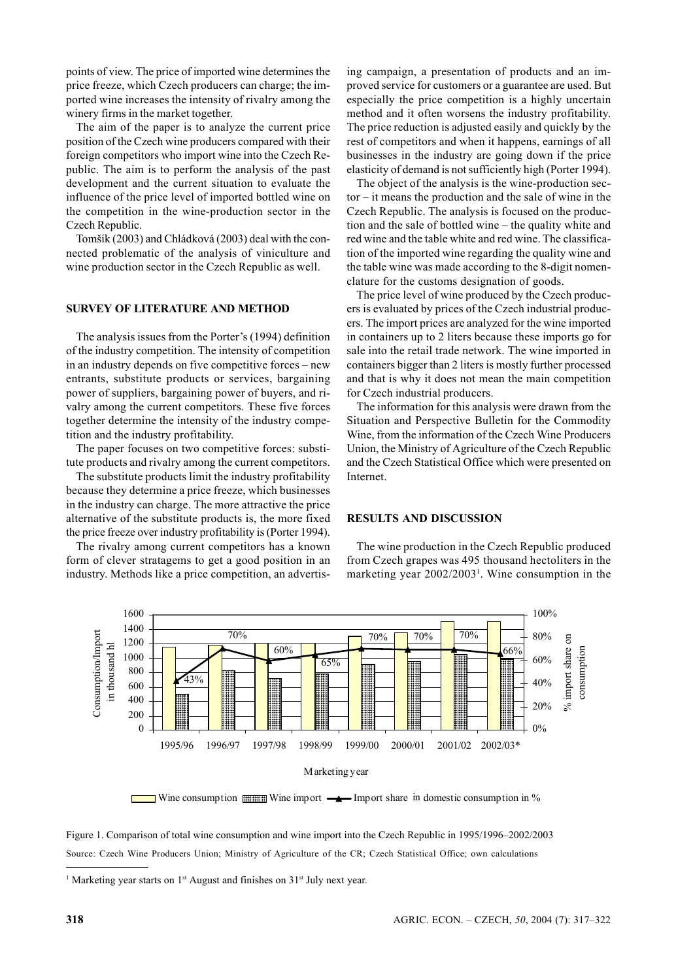points of view. The price of imported wine determines the price freeze, which Czech producers can charge; the imported wine increases the intensity of rivalry among the winery firms in the market together.

The aim of the paper is to analyze the current price position of the Czech wine producers compared with their foreign competitors who import wine into the Czech Republic. The aim is to perform the analysis of the past development and the current situation to evaluate the influence of the price level of imported bottled wine on the competition in the wine-production sector in the Czech Republic.

Tomšík (2003) and Chládková (2003) deal with the connected problematic of the analysis of viniculture and wine production sector in the Czech Republic as well.

#### **SURVEY OF LITERATURE AND METHOD**

The analysis issues from the Porter's (1994) definition of the industry competition. The intensity of competition in an industry depends on five competitive forces – new entrants, substitute products or services, bargaining power of suppliers, bargaining power of buyers, and rivalry among the current competitors. These five forces together determine the intensity of the industry competition and the industry profitability.

The paper focuses on two competitive forces: substitute products and rivalry among the current competitors.

The substitute products limit the industry profitability because they determine a price freeze, which businesses in the industry can charge. The more attractive the price alternative of the substitute products is, the more fixed the price freeze over industry profitability is (Porter 1994).

The rivalry among current competitors has a known form of clever stratagems to get a good position in an industry. Methods like a price competition, an advertising campaign, a presentation of products and an improved service for customers or a guarantee are used. But especially the price competition is a highly uncertain method and it often worsens the industry profitability. The price reduction is adjusted easily and quickly by the rest of competitors and when it happens, earnings of all businesses in the industry are going down if the price elasticity of demand is not sufficiently high (Porter 1994).

The object of the analysis is the wine-production sector – it means the production and the sale of wine in the Czech Republic. The analysis is focused on the production and the sale of bottled wine – the quality white and red wine and the table white and red wine. The classification of the imported wine regarding the quality wine and the table wine was made according to the 8-digit nomenclature for the customs designation of goods.

The price level of wine produced by the Czech producers is evaluated by prices of the Czech industrial producers. The import prices are analyzed for the wine imported in containers up to 2 liters because these imports go for sale into the retail trade network. The wine imported in containers bigger than 2 liters is mostly further processed and that is why it does not mean the main competition for Czech industrial producers.

The information for this analysis were drawn from the Situation and Perspective Bulletin for the Commodity Wine, from the information of the Czech Wine Producers Union, the Ministry of Agriculture of the Czech Republic and the Czech Statistical Office which were presented on Internet.

#### **RESULTS AND DISCUSSION**

The wine production in the Czech Republic produced from Czech grapes was 495 thousand hectoliters in the marketing year 2002/2003<sup>1</sup>. Wine consumption in the



Wine consumption  $\frac{1}{\text{minim}}$  Wine import  $\frac{1}{\text{min}}$  Import share in domestic consumption in %

Figure 1. Comparison of total wine consumption and wine import into the Czech Republic in 1995/1996–2002/2003 Source: Czech Wine Producers Union; Ministry of Agriculture of the CR; Czech Statistical Office; own calculations

<sup>&</sup>lt;sup>1</sup> Marketing year starts on  $1<sup>st</sup>$  August and finishes on  $31<sup>st</sup>$  July next year.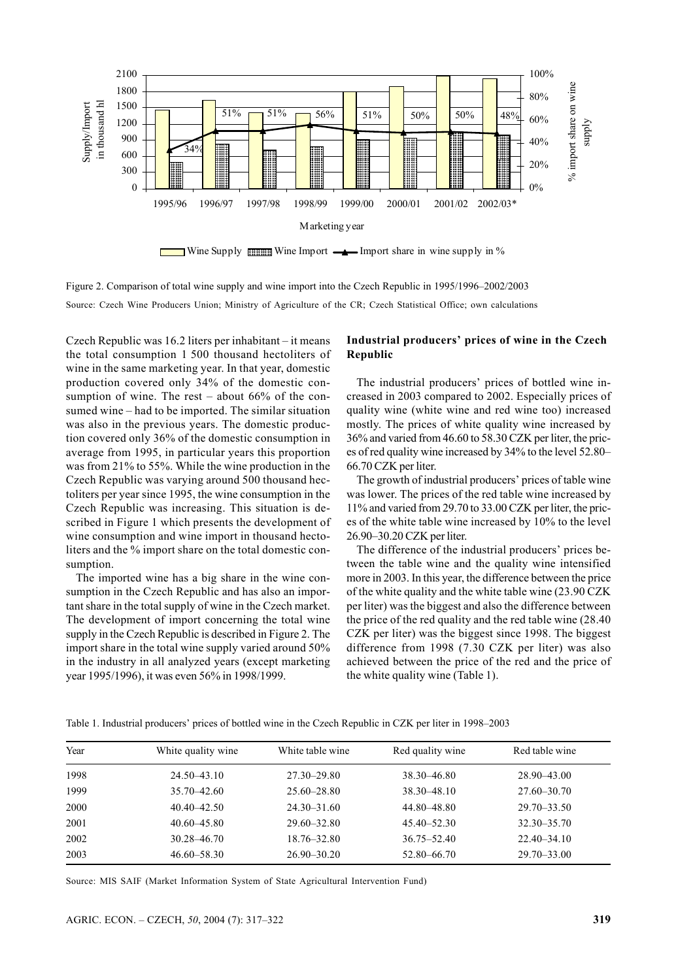

Figure 2. Comparison of total wine supply and wine import into the Czech Republic in 1995/1996–2002/2003 Source: Czech Wine Producers Union; Ministry of Agriculture of the CR; Czech Statistical Office; own calculations

Czech Republic was 16.2 liters per inhabitant – it means the total consumption 1 500 thousand hectoliters of wine in the same marketing year. In that year, domestic production covered only 34% of the domestic consumption of wine. The rest – about 66% of the consumed wine – had to be imported. The similar situation was also in the previous years. The domestic production covered only 36% of the domestic consumption in average from 1995, in particular years this proportion was from 21% to 55%. While the wine production in the Czech Republic was varying around 500 thousand hectoliters per year since 1995, the wine consumption in the Czech Republic was increasing. This situation is described in Figure 1 which presents the development of wine consumption and wine import in thousand hectoliters and the % import share on the total domestic consumption.

The imported wine has a big share in the wine consumption in the Czech Republic and has also an important share in the total supply of wine in the Czech market. The development of import concerning the total wine supply in the Czech Republic is described in Figure 2. The import share in the total wine supply varied around 50% in the industry in all analyzed years (except marketing year 1995/1996), it was even 56% in 1998/1999.

#### **Industrial producers' prices of wine in the Czech Republic**

The industrial producers' prices of bottled wine increased in 2003 compared to 2002. Especially prices of quality wine (white wine and red wine too) increased mostly. The prices of white quality wine increased by 36% and varied from 46.60 to 58.30 CZK per liter, the prices of red quality wine increased by 34% to the level 52.80– 66.70 CZK per liter.

The growth of industrial producers' prices of table wine was lower. The prices of the red table wine increased by 11% and varied from 29.70 to 33.00 CZK per liter, the prices of the white table wine increased by 10% to the level 26.90–30.20 CZK per liter.

The difference of the industrial producers' prices between the table wine and the quality wine intensified more in 2003. In this year, the difference between the price of the white quality and the white table wine (23.90 CZK per liter) was the biggest and also the difference between the price of the red quality and the red table wine (28.40 CZK per liter) was the biggest since 1998. The biggest difference from 1998 (7.30 CZK per liter) was also achieved between the price of the red and the price of the white quality wine (Table 1).

| Year | White quality wine | White table wine | Red quality wine | Red table wine  |  |
|------|--------------------|------------------|------------------|-----------------|--|
| 1998 | $24.50 - 43.10$    | $27.30 - 29.80$  | 38.30 - 46.80    | 28.90 - 43.00   |  |
| 1999 | $35.70 - 42.60$    | $25.60 - 28.80$  | 38.30 - 48.10    | $27.60 - 30.70$ |  |
| 2000 | $40.40 - 42.50$    | $24.30 - 31.60$  | 44.80 - 48.80    | $29.70 - 33.50$ |  |
| 2001 | 40.60-45.80        | $29.60 - 32.80$  | $45.40 - 52.30$  | $32.30 - 35.70$ |  |
| 2002 | 30.28–46.70        | 18.76-32.80      | $36.75 - 52.40$  | $22.40 - 34.10$ |  |
| 2003 | $46.60 - 58.30$    | $26.90 - 30.20$  | 52.80–66.70      | $29.70 - 33.00$ |  |
|      |                    |                  |                  |                 |  |

Table 1. Industrial producers' prices of bottled wine in the Czech Republic in CZK per liter in 1998–2003

Source: MIS SAIF (Market Information System of State Agricultural Intervention Fund)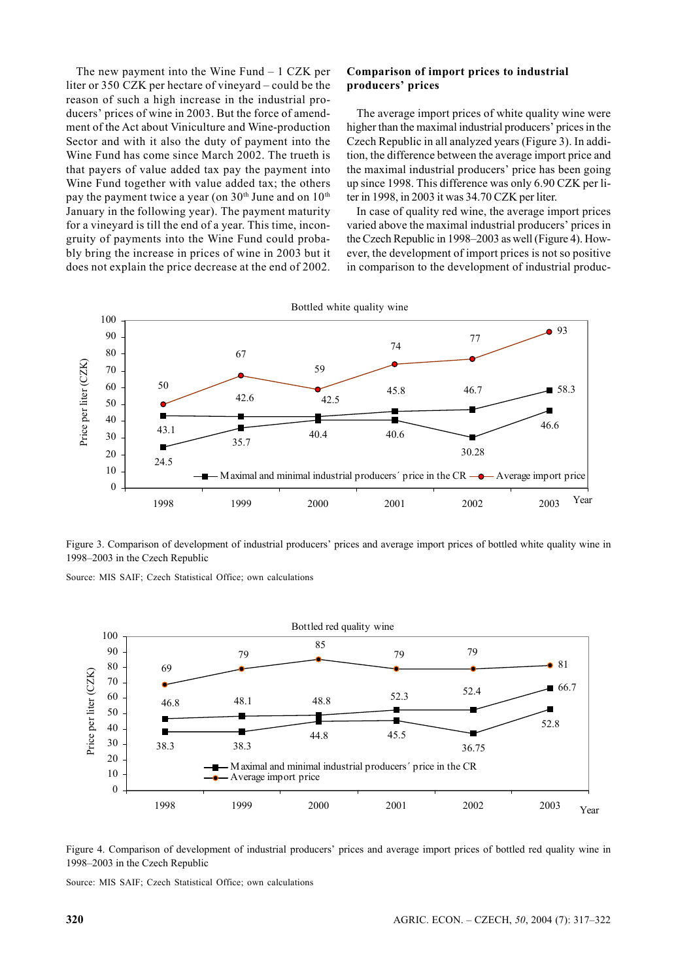The new payment into the Wine Fund – 1 CZK per liter or 350 CZK per hectare of vineyard – could be the reason of such a high increase in the industrial producers' prices of wine in 2003. But the force of amendment of the Act about Viniculture and Wine-production Sector and with it also the duty of payment into the Wine Fund has come since March 2002. The trueth is that payers of value added tax pay the payment into Wine Fund together with value added tax; the others pay the payment twice a year (on  $30<sup>th</sup>$  June and on  $10<sup>th</sup>$ January in the following year). The payment maturity for a vineyard is till the end of a year. This time, incongruity of payments into the Wine Fund could probably bring the increase in prices of wine in 2003 but it does not explain the price decrease at the end of 2002.

#### **Comparison of import prices to industrial producers' prices**

The average import prices of white quality wine were higher than the maximal industrial producers' prices in the Czech Republic in all analyzed years (Figure 3). In addition, the difference between the average import price and the maximal industrial producers' price has been going up since 1998. This difference was only 6.90 CZK per liter in 1998, in 2003 it was 34.70 CZK per liter.

In case of quality red wine, the average import prices varied above the maximal industrial producers' prices in the Czech Republic in 1998–2003 as well (Figure 4). However, the development of import prices is not so positive in comparison to the development of industrial produc-



Figure 3. Comparison of development of industrial producers' prices and average import prices of bottled white quality wine in 1998–2003 in the Czech Republic

Source: MIS SAIF; Czech Statistical Office; own calculations





Source: MIS SAIF; Czech Statistical Office; own calculations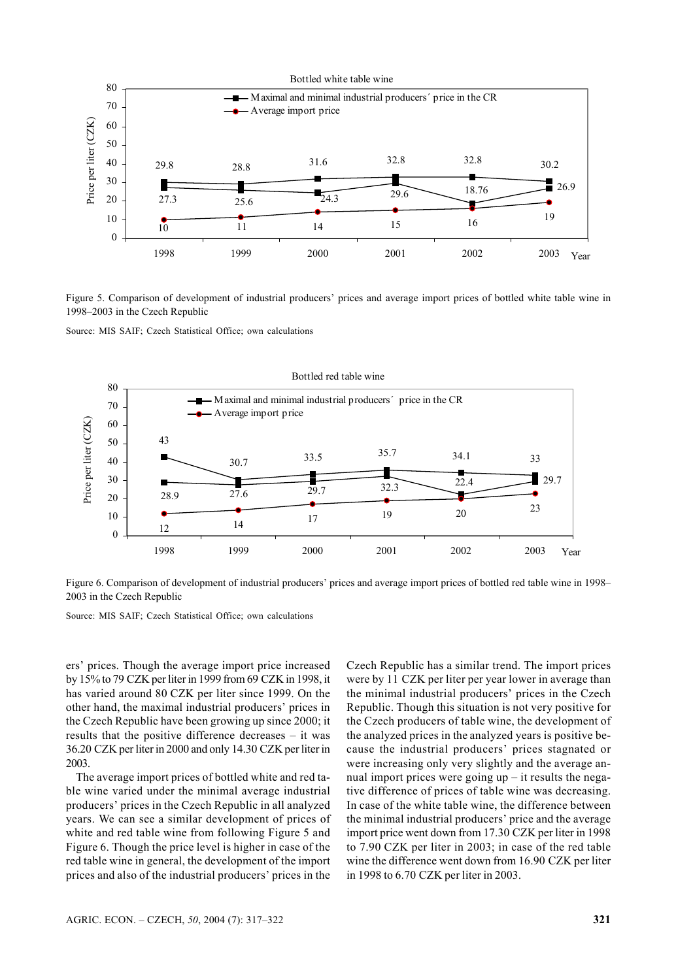

Figure 5. Comparison of development of industrial producers' prices and average import prices of bottled white table wine in 1998–2003 in the Czech Republic

Source: MIS SAIF; Czech Statistical Office; own calculations



Figure 6. Comparison of development of industrial producers' prices and average import prices of bottled red table wine in 1998– 2003 in the Czech Republic

Source: MIS SAIF; Czech Statistical Office; own calculations

ers' prices. Though the average import price increased by 15% to 79 CZK per liter in 1999 from 69 CZK in 1998, it has varied around 80 CZK per liter since 1999. On the other hand, the maximal industrial producers' prices in the Czech Republic have been growing up since 2000; it results that the positive difference decreases – it was 36.20 CZK per liter in 2000 and only 14.30 CZK per liter in 2003.

The average import prices of bottled white and red table wine varied under the minimal average industrial producers' prices in the Czech Republic in all analyzed years. We can see a similar development of prices of white and red table wine from following Figure 5 and Figure 6. Though the price level is higher in case of the red table wine in general, the development of the import prices and also of the industrial producers' prices in the Czech Republic has a similar trend. The import prices were by 11 CZK per liter per year lower in average than the minimal industrial producers' prices in the Czech Republic. Though this situation is not very positive for the Czech producers of table wine, the development of the analyzed prices in the analyzed years is positive because the industrial producers' prices stagnated or were increasing only very slightly and the average annual import prices were going  $up - it$  results the negative difference of prices of table wine was decreasing. In case of the white table wine, the difference between the minimal industrial producers' price and the average import price went down from 17.30 CZK per liter in 1998 to 7.90 CZK per liter in 2003; in case of the red table wine the difference went down from 16.90 CZK per liter in 1998 to 6.70 CZK per liter in 2003.